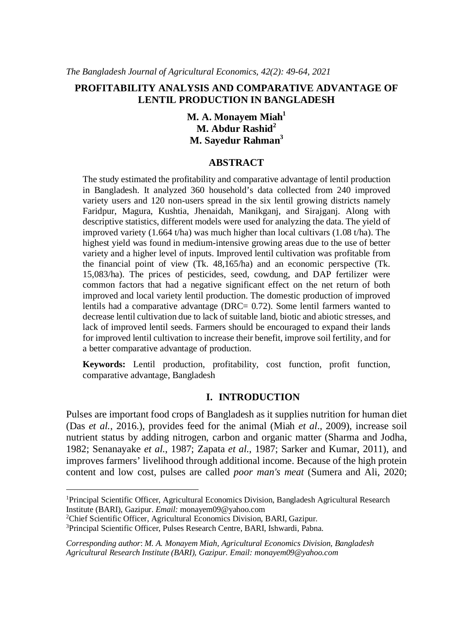### **PROFITABILITY ANALYSIS AND COMPARATIVE ADVANTAGE OF LENTIL PRODUCTION IN BANGLADESH**

**M. A. Monayem Miah<sup>1</sup> M. Abdur Rashid<sup>2</sup> M. Sayedur Rahman<sup>3</sup>**

#### **ABSTRACT**

The study estimated the profitability and comparative advantage of lentil production in Bangladesh. It analyzed 360 household's data collected from 240 improved variety users and 120 non-users spread in the six lentil growing districts namely Faridpur, Magura, Kushtia, Jhenaidah, Manikganj, and Sirajganj. Along with descriptive statistics, different models were used for analyzing the data. The yield of improved variety (1.664 t/ha) was much higher than local cultivars (1.08 t/ha). The highest yield was found in medium-intensive growing areas due to the use of better variety and a higher level of inputs. Improved lentil cultivation was profitable from the financial point of view (Tk. 48,165/ha) and an economic perspective (Tk. 15,083/ha). The prices of pesticides, seed, cowdung, and DAP fertilizer were common factors that had a negative significant effect on the net return of both improved and local variety lentil production. The domestic production of improved lentils had a comparative advantage (DRC= 0.72). Some lentil farmers wanted to decrease lentil cultivation due to lack of suitable land, biotic and abiotic stresses, and lack of improved lentil seeds. Farmers should be encouraged to expand their lands for improved lentil cultivation to increase their benefit, improve soil fertility, and for a better comparative advantage of production.

**Keywords:** Lentil production, profitability, cost function, profit function, comparative advantage, Bangladesh

#### **I. INTRODUCTION**

Pulses are important food crops of Bangladesh as it supplies nutrition for human diet (Das *et al.*, 2016.), provides feed for the animal (Miah *et al*., 2009), increase soil nutrient status by adding nitrogen, carbon and organic matter (Sharma and Jodha, 1982; Senanayake *et al.*, 1987; Zapata *et al.*, 1987; Sarker and Kumar, 2011), and improves farmers' livelihood through additional income. Because of the high protein content and low cost, pulses are called *poor man's meat* (Sumera and Ali, 2020;

<sup>2</sup>Chief Scientific Officer, Agricultural Economics Division, BARI, Gazipur.

<sup>1</sup>Principal Scientific Officer, Agricultural Economics Division, Bangladesh Agricultural Research Institute (BARI), Gazipur. *Email:* monayem09@yahoo.com

<sup>3</sup>Principal Scientific Officer, Pulses Research Centre, BARI, Ishwardi, Pabna.

*Corresponding author*: *M. A. Monayem Miah, Agricultural Economics Division, Bangladesh Agricultural Research Institute (BARI), Gazipur. Email: monayem09@yahoo.com*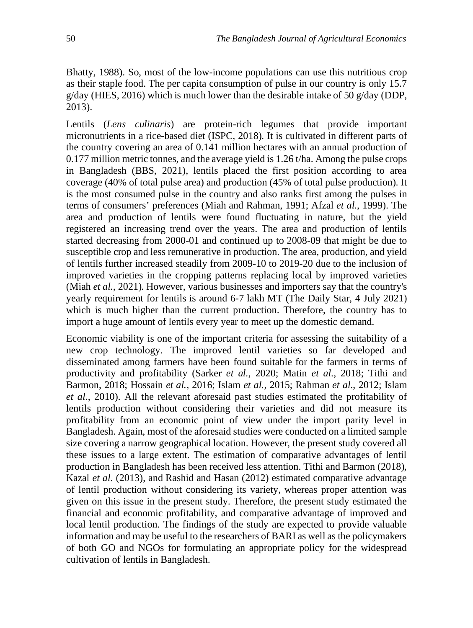Bhatty, 1988). So, most of the low-income populations can use this nutritious crop as their staple food. The per capita consumption of pulse in our country is only 15.7  $g/day$  (HIES, 2016) which is much lower than the desirable intake of 50  $g/day$  (DDP, 2013).

Lentils (*Lens culinaris*) are protein-rich legumes that provide important micronutrients in a rice-based diet (ISPC, 2018). It is cultivated in different parts of the country covering an area of 0.141 million hectares with an annual production of 0.177 million metric tonnes, and the average yield is 1.26 t/ha. Among the pulse crops in Bangladesh (BBS, 2021), lentils placed the first position according to area coverage (40% of total pulse area) and production (45% of total pulse production). It is the most consumed pulse in the country and also ranks first among the pulses in terms of consumers' preferences (Miah and Rahman, 1991; Afzal *et al.*, 1999). The area and production of lentils were found fluctuating in nature, but the yield registered an increasing trend over the years. The area and production of lentils started decreasing from 2000-01 and continued up to 2008-09 that might be due to susceptible crop and less remunerative in production. The area, production, and yield of lentils further increased steadily from 2009-10 to 2019-20 due to the inclusion of improved varieties in the cropping patterns replacing local by improved varieties (Miah *et al.*, 2021). However, various businesses and importers say that the country's yearly requirement for lentils is around 6-7 lakh MT (The Daily Star, 4 July 2021) which is much higher than the current production. Therefore, the country has to import a huge amount of lentils every year to meet up the domestic demand.

Economic viability is one of the important criteria for assessing the suitability of a new crop technology. The improved lentil varieties so far developed and disseminated among farmers have been found suitable for the farmers in terms of productivity and profitability (Sarker *et al.*, 2020; Matin *et al.*, 2018; Tithi and Barmon, 2018; Hossain *et al.*, 2016; Islam *et al.*, 2015; Rahman *et al*., 2012; Islam *et al.*, 2010). All the relevant aforesaid past studies estimated the profitability of lentils production without considering their varieties and did not measure its profitability from an economic point of view under the import parity level in Bangladesh. Again, most of the aforesaid studies were conducted on a limited sample size covering a narrow geographical location. However, the present study covered all these issues to a large extent. The estimation of comparative advantages of lentil production in Bangladesh has been received less attention. Tithi and Barmon (2018), Kazal *et al.* (2013), and Rashid and Hasan (2012) estimated comparative advantage of lentil production without considering its variety, whereas proper attention was given on this issue in the present study. Therefore, the present study estimated the financial and economic profitability, and comparative advantage of improved and local lentil production. The findings of the study are expected to provide valuable information and may be useful to the researchers of BARI as well as the policymakers of both GO and NGOs for formulating an appropriate policy for the widespread cultivation of lentils in Bangladesh.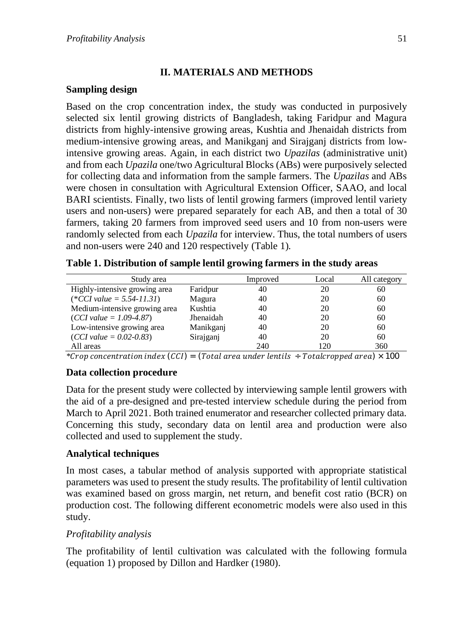# **II. MATERIALS AND METHODS**

## **Sampling design**

Based on the crop concentration index, the study was conducted in purposively selected six lentil growing districts of Bangladesh, taking Faridpur and Magura districts from highly-intensive growing areas, Kushtia and Jhenaidah districts from medium-intensive growing areas, and Manikganj and Sirajganj districts from lowintensive growing areas. Again, in each district two *Upazilas* (administrative unit) and from each *Upazila* one/two Agricultural Blocks (ABs) were purposively selected for collecting data and information from the sample farmers. The *Upazilas* and ABs were chosen in consultation with Agricultural Extension Officer, SAAO, and local BARI scientists. Finally, two lists of lentil growing farmers (improved lentil variety users and non-users) were prepared separately for each AB, and then a total of 30 farmers, taking 20 farmers from improved seed users and 10 from non-users were randomly selected from each *Upazila* for interview. Thus, the total numbers of users and non-users were 240 and 120 respectively (Table 1).

|  |  |  | Table 1. Distribution of sample lentil growing farmers in the study areas |  |  |
|--|--|--|---------------------------------------------------------------------------|--|--|
|  |  |  |                                                                           |  |  |

| Study area                    |           | Improved | Local | All category |
|-------------------------------|-----------|----------|-------|--------------|
| Highly-intensive growing area | Faridpur  | 40       | 20    | 60           |
| $(*CCI value = 5.54-11.31)$   | Magura    | 40       | 20    | 60           |
| Medium-intensive growing area | Kushtia   | 40       | 20    | 60           |
| $(CCI value = 1.09-4.87)$     | Jhenaidah | 40       | 20    | 60           |
| Low-intensive growing area    | Manikganj | 40       | 20    | 60           |
| $(CCI value = 0.02 - 0.83)$   | Sirajganj | 40       | 20    | 60           |
| All areas                     |           | 240      | 120   | 360          |

\*Crop concentration index  $(CCI) = (Total area under lentils \div Total cropped area) \times 100$ 

# **Data collection procedure**

Data for the present study were collected by interviewing sample lentil growers with the aid of a pre-designed and pre-tested interview schedule during the period from March to April 2021. Both trained enumerator and researcher collected primary data. Concerning this study, secondary data on lentil area and production were also collected and used to supplement the study.

## **Analytical techniques**

In most cases, a tabular method of analysis supported with appropriate statistical parameters was used to present the study results. The profitability of lentil cultivation was examined based on gross margin, net return, and benefit cost ratio (BCR) on production cost. The following different econometric models were also used in this study.

# *Profitability analysis*

The profitability of lentil cultivation was calculated with the following formula (equation 1) proposed by Dillon and Hardker (1980).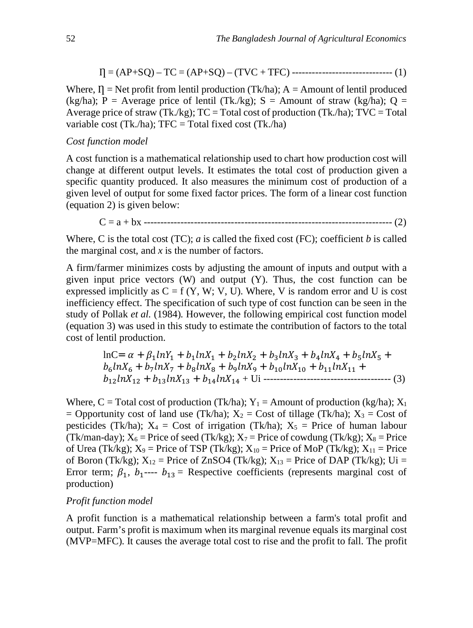= (AP+SQ) – TC = (AP+SQ) – (TVC + TFC) ------------------------------ (1)

Where,  $\Pi$  = Net profit from lentil production (Tk/ha); A = Amount of lentil produced (kg/ha); P = Average price of lentil (Tk./kg); S = Amount of straw (kg/ha); Q = Average price of straw (Tk./kg);  $TC = Total cost of production (Tk. / ha)$ ;  $TVC = Total$ variable cost (Tk./ha);  $TFC = Total fixed cost (Tk. / ha)$ 

### *Cost function model*

A cost function is a mathematical relationship used to chart how production cost will change at different output levels. It estimates the total cost of production given a specific quantity produced. It also measures the minimum cost of production of a given level of output for some fixed factor prices. The form of a linear cost function (equation 2) is given below:

C = a + bx -------------------------------------------------------------------------- (2)

Where, C is the total cost (TC); *a* is called the fixed cost (FC); coefficient *b* is called the marginal cost, and *x* is the number of factors.

A firm/farmer minimizes costs by adjusting the amount of inputs and output with a given input price vectors  $(W)$  and output  $(Y)$ . Thus, the cost function can be expressed implicitly as  $C = f(Y, W; V, U)$ . Where, V is random error and U is cost inefficiency effect. The specification of such type of cost function can be seen in the study of Pollak *et al*. (1984). However, the following empirical cost function model (equation 3) was used in this study to estimate the contribution of factors to the total cost of lentil production.

$$
\begin{aligned}\n\ln C &= \alpha + \beta_1 \ln Y_1 + b_1 \ln X_1 + b_2 \ln X_2 + b_3 \ln X_3 + b_4 \ln X_4 + b_5 \ln X_5 + \\
b_6 \ln X_6 &+ b_7 \ln X_7 + b_8 \ln X_8 + b_9 \ln X_9 + b_{10} \ln X_{10} + b_{11} \ln X_{11} + \\
b_{12} \ln X_{12} + b_{13} \ln X_{13} + b_{14} \ln X_{14} + \text{Ui} \dots \\
\end{aligned}
$$

Where, C = Total cost of production (Tk/ha);  $Y_1$  = Amount of production (kg/ha);  $X_1$ = Opportunity cost of land use (Tk/ha);  $X_2$  = Cost of tillage (Tk/ha);  $X_3$  = Cost of pesticides (Tk/ha);  $X_4 = \text{Cost of irrational (Tk/ha)}$ ;  $X_5 = \text{Price of human labour}$ (Tk/man-day);  $X_6$  = Price of seed (Tk/kg);  $X_7$  = Price of cowdung (Tk/kg);  $X_8$  = Price of Urea (Tk/kg);  $X_9$  = Price of TSP (Tk/kg);  $X_{10}$  = Price of MoP (Tk/kg);  $X_{11}$  = Price of Boron (Tk/kg);  $X_{12}$  = Price of ZnSO4 (Tk/kg);  $X_{13}$  = Price of DAP (Tk/kg); Ui = Error term;  $\beta_1$ ,  $b_1$ ----  $b_{13}$  = Respective coefficients (represents marginal cost of production)

#### *Profit function model*

A profit function is a mathematical relationship between a farm's total profit and output. Farm's profit is maximum when its marginal revenue equals its marginal cost (MVP=MFC). It causes the average total cost to rise and the profit to fall. The profit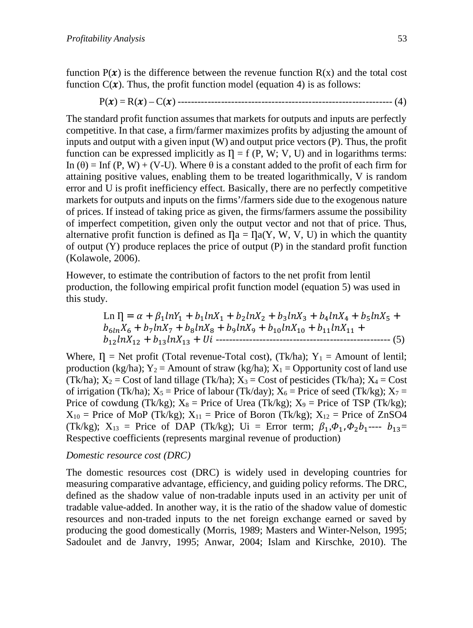function  $P(x)$  is the difference between the revenue function  $R(x)$  and the total cost function  $C(\mathbf{x})$ . Thus, the profit function model (equation 4) is as follows:

(4) ---------------------------------------------------------------- (࢞)C) – ࢞)R) = ࢞)P

The standard profit function assumes that markets for outputs and inputs are perfectly competitive. In that case, a firm/farmer maximizes profits by adjusting the amount of inputs and output with a given input (W) and output price vectors (P). Thus, the profit function can be expressed implicitly as  $I = f(P, W; V, U)$  and in logarithms terms: In  $(\theta)$  = Inf  $(P, W)$  + (V-U). Where  $\theta$  is a constant added to the profit of each firm for attaining positive values, enabling them to be treated logarithmically, V is random error and U is profit inefficiency effect. Basically, there are no perfectly competitive markets for outputs and inputs on the firms'/farmers side due to the exogenous nature of prices. If instead of taking price as given, the firms/farmers assume the possibility of imperfect competition, given only the output vector and not that of price. Thus, alternative profit function is defined as  $\eta_a = \eta_a(Y, W, V, U)$  in which the quantity of output (Y) produce replaces the price of output (P) in the standard profit function (Kolawole, 2006).

However, to estimate the contribution of factors to the net profit from lentil production, the following empirical profit function model (equation 5) was used in this study.

Ln 
$$
\Pi = \alpha + \beta_1 \ln Y_1 + b_1 \ln X_1 + b_2 \ln X_2 + b_3 \ln X_3 + b_4 \ln X_4 + b_5 \ln X_5 + b_{6 \ln} X_6 + b_7 \ln X_7 + b_8 \ln X_8 + b_9 \ln X_9 + b_{10} \ln X_{10} + b_{11} \ln X_{11} + b_{12} \ln X_{12} + b_{13} \ln X_{13} + Ui
$$

Where,  $I = \text{Net profit (Total revenue-Total cost)}$ ,  $(Tk/ha)$ ;  $Y_1 = \text{Amount of lentil}$ ; production (kg/ha);  $Y_2$  = Amount of straw (kg/ha);  $X_1$  = Opportunity cost of land use (Tk/ha);  $X_2$  = Cost of land tillage (Tk/ha);  $X_3$  = Cost of pesticides (Tk/ha);  $X_4$  = Cost of irrigation (Tk/ha);  $X_5$  = Price of labour (Tk/day);  $X_6$  = Price of seed (Tk/kg);  $X_7$  = Price of cowdung (Tk/kg);  $X_8$  = Price of Urea (Tk/kg);  $X_9$  = Price of TSP (Tk/kg);  $X_{10}$  = Price of MoP (Tk/kg);  $X_{11}$  = Price of Boron (Tk/kg);  $X_{12}$  = Price of ZnSO4 (Tk/kg);  $X_{13}$  = Price of DAP (Tk/kg); Ui = Error term;  $\beta_1, \phi_1, \phi_2, \beta_1, \dots, \beta_{13}$ = Respective coefficients (represents marginal revenue of production)

# *Domestic resource cost (DRC)*

The domestic resources cost (DRC) is widely used in developing countries for measuring comparative advantage, efficiency, and guiding policy reforms. The DRC, defined as the shadow value of non-tradable inputs used in an activity per unit of tradable value-added. In another way, it is the ratio of the shadow value of domestic resources and non-traded inputs to the net foreign exchange earned or saved by producing the good domestically (Morris, 1989; Masters and Winter-Nelson, 1995; Sadoulet and de Janvry, 1995; Anwar, 2004; Islam and Kirschke, 2010). The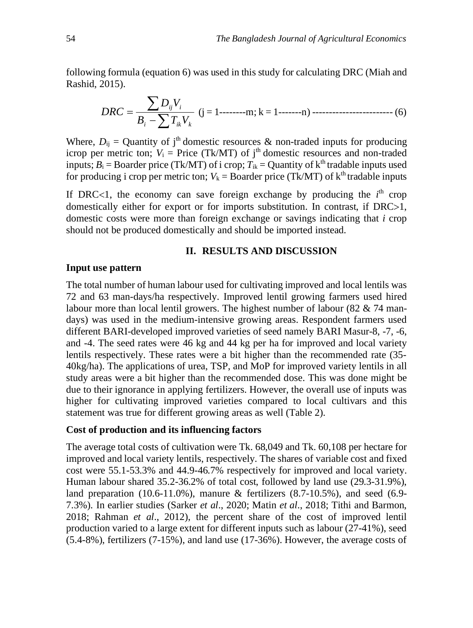following formula (equation 6) was used in this study for calculating DRC (Miah and Rashid, 2015).

$$
DRC = \frac{\sum D_{ij}V_i}{B_i - \sum T_{ik}V_k}
$$
 (j = 1-----m; k = 1-----n) 3 3 3 3 4 5 5 6 6 6

Where,  $D_{ij}$  = Quantity of j<sup>th</sup> domestic resources & non-traded inputs for producing icrop per metric ton;  $V_i$  = Price (Tk/MT) of j<sup>th</sup> domestic resources and non-traded inputs;  $B_i$  = Boarder price (Tk/MT) of i crop;  $T_{ik}$  = Quantity of k<sup>th</sup> tradable inputs used for producing i crop per metric ton;  $V_k = \text{Boarder price (Tk/MT) of } k^{\text{th}}$  tradable inputs

If DRC<1, the economy can save foreign exchange by producing the  $i<sup>th</sup>$  crop domestically either for export or for imports substitution. In contrast, if  $DRC>1$ , domestic costs were more than foreign exchange or savings indicating that *i* crop should not be produced domestically and should be imported instead.

### **II. RESULTS AND DISCUSSION**

#### **Input use pattern**

The total number of human labour used for cultivating improved and local lentils was 72 and 63 man-days/ha respectively. Improved lentil growing farmers used hired labour more than local lentil growers. The highest number of labour (82  $\&$  74 mandays) was used in the medium-intensive growing areas. Respondent farmers used different BARI-developed improved varieties of seed namely BARI Masur-8, -7, -6, and -4. The seed rates were 46 kg and 44 kg per ha for improved and local variety lentils respectively. These rates were a bit higher than the recommended rate (35- 40kg/ha). The applications of urea, TSP, and MoP for improved variety lentils in all study areas were a bit higher than the recommended dose. This was done might be due to their ignorance in applying fertilizers. However, the overall use of inputs was higher for cultivating improved varieties compared to local cultivars and this statement was true for different growing areas as well (Table 2).

### **Cost of production and its influencing factors**

The average total costs of cultivation were Tk. 68,049 and Tk. 60,108 per hectare for improved and local variety lentils, respectively. The shares of variable cost and fixed cost were 55.1-53.3% and 44.9-46.7% respectively for improved and local variety. Human labour shared 35.2-36.2% of total cost, followed by land use (29.3-31.9%), land preparation  $(10.6-11.0\%)$ , manure & fertilizers  $(8.7-10.5\%)$ , and seed  $(6.9-10.5\%)$ 7.3%). In earlier studies (Sarker *et al*., 2020; Matin *et al*., 2018; Tithi and Barmon, 2018; Rahman *et al*., 2012), the percent share of the cost of improved lentil production varied to a large extent for different inputs such as labour (27-41%), seed (5.4-8%), fertilizers (7-15%), and land use (17-36%). However, the average costs of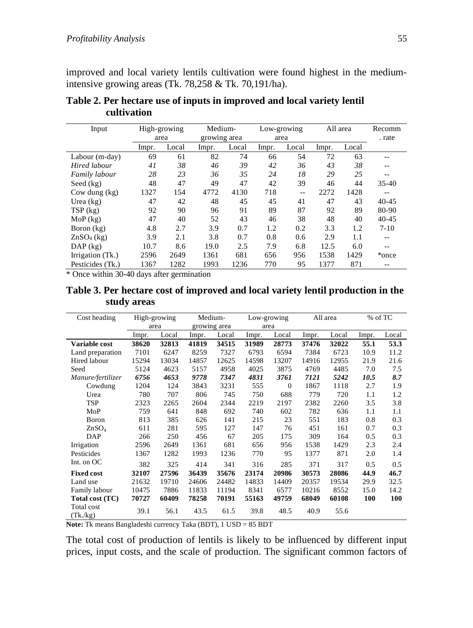improved and local variety lentils cultivation were found highest in the mediumintensive growing areas (Tk. 78,258 & Tk. 70,191/ha).

| Input            | High-growing<br>area |       | Medium-<br>growing area |       | Low-growing<br>area |       | All area |       | Recomm<br>. rate |
|------------------|----------------------|-------|-------------------------|-------|---------------------|-------|----------|-------|------------------|
|                  | Impr.                | Local | Impr.                   | Local | Impr.               | Local | Impr.    | Local |                  |
| Labour (m-day)   | 69                   | 61    | 82                      | 74    | 66                  | 54    | 72       | 63    |                  |
| Hired labour     | 41                   | 38    | 46                      | 39    | 42                  | 36    | 43       | 38    | --               |
| Family labour    | 28                   | 23    | 36                      | 35    | 24                  | 18    | 29       | 25    | --               |
| Seed $(kg)$      | 48                   | 47    | 49                      | 47    | 42                  | 39    | 46       | 44    | $35-40$          |
| Cow dung $(kg)$  | 1327                 | 154   | 4772                    | 4130  | 718                 | $- -$ | 2272     | 1428  | --               |
| Urea $(kg)$      | 47                   | 42    | 48                      | 45    | 45                  | 41    | 47       | 43    | $40 - 45$        |
| TSP (kg)         | 92                   | 90    | 96                      | 91    | 89                  | 87    | 92       | 89    | 80-90            |
| $MoP$ (kg)       | 47                   | 40    | 52                      | 43    | 46                  | 38    | 48       | 40    | $40 - 45$        |
| Boron (kg)       | 4.8                  | 2.7   | 3.9                     | 0.7   | 1.2                 | 0.2   | 3.3      | 1.2   | $7 - 10$         |
| $ZnSO4$ (kg)     | 3.9                  | 2.1   | 3.8                     | 0.7   | 0.8                 | 0.6   | 2.9      | 1.1   | --               |
| $DAP$ (kg)       | 10.7                 | 8.6   | 19.0                    | 2.5   | 7.9                 | 6.8   | 12.5     | 6.0   | --               |
| Irrigation (Tk.) | 2596                 | 2649  | 1361                    | 681   | 656                 | 956   | 1538     | 1429  | *once            |
| Pesticides (Tk.) | 1367                 | 1282  | 1993                    | 1236  | 770                 | 95    | 1377     | 871   | --               |

**Table 2. Per hectare use of inputs in improved and local variety lentil cultivation** 

\* Once within 30-40 days after germination

## **Table 3. Per hectare cost of improved and local variety lentil production in the study areas**

| Cost heading           |       | High-growing | Medium- |              | Low-growing |          | All area |       | % of TC |       |
|------------------------|-------|--------------|---------|--------------|-------------|----------|----------|-------|---------|-------|
|                        |       | area         |         | growing area |             | area     |          |       |         |       |
|                        | Impr. | Local        | Impr.   | Local        | Impr.       | Local    | Impr.    | Local | Impr.   | Local |
| Variable cost          | 38620 | 32813        | 41819   | 34515        | 31989       | 28773    | 37476    | 32022 | 55.1    | 53.3  |
| Land preparation       | 7101  | 6247         | 8259    | 7327         | 6793        | 6594     | 7384     | 6723  | 10.9    | 11.2  |
| Hired labour           | 15294 | 13034        | 14857   | 12625        | 14598       | 13207    | 14916    | 12955 | 21.9    | 21.6  |
| Seed                   | 5124  | 4623         | 5157    | 4958         | 4025        | 3875     | 4769     | 4485  | 7.0     | 7.5   |
| Manure/fertilizer      | 6756  | 4653         | 9778    | 7347         | 4831        | 3761     | 7121     | 5242  | 10.5    | 8.7   |
| Cowdung                | 1204  | 124          | 3843    | 3231         | 555         | $\Omega$ | 1867     | 1118  | 2.7     | 1.9   |
| Urea                   | 780   | 707          | 806     | 745          | 750         | 688      | 779      | 720   | 1.1     | 1.2   |
| TSP                    | 2323  | 2265         | 2604    | 2344         | 2219        | 2197     | 2382     | 2260  | 3.5     | 3.8   |
| MoP                    | 759   | 641          | 848     | 692          | 740         | 602      | 782      | 636   | 1.1     | 1.1   |
| Boron                  | 813   | 385          | 626     | 141          | 215         | 23       | 551      | 183   | 0.8     | 0.3   |
| ZnSO <sub>4</sub>      | 611   | 281          | 595     | 127          | 147         | 76       | 451      | 161   | 0.7     | 0.3   |
| DAP                    | 266   | 250          | 456     | 67           | 205         | 175      | 309      | 164   | 0.5     | 0.3   |
| Irrigation             | 2596  | 2649         | 1361    | 681          | 656         | 956      | 1538     | 1429  | 2.3     | 2.4   |
| Pesticides             | 1367  | 1282         | 1993    | 1236         | 770         | 95       | 1377     | 871   | 2.0     | 1.4   |
| Int. on OC             | 382   | 325          | 414     | 341          | 316         | 285      | 371      | 317   | 0.5     | 0.5   |
| <b>Fixed cost</b>      | 32107 | 27596        | 36439   | 35676        | 23174       | 20986    | 30573    | 28086 | 44.9    | 46.7  |
| Land use               | 21632 | 19710        | 24606   | 24482        | 14833       | 14409    | 20357    | 19534 | 29.9    | 32.5  |
| Family labour          | 10475 | 7886         | 11833   | 11194        | 8341        | 6577     | 10216    | 8552  | 15.0    | 14.2  |
| Total cost (TC)        | 70727 | 60409        | 78258   | 70191        | 55163       | 49759    | 68049    | 60108 | 100     | 100   |
| Total cost<br>(Tk./kg) | 39.1  | 56.1         | 43.5    | 61.5         | 39.8        | 48.5     | 40.9     | 55.6  |         |       |

**Note:** Tk means Bangladeshi currency Taka (BDT), 1 USD = 85 BDT

The total cost of production of lentils is likely to be influenced by different input prices, input costs, and the scale of production. The significant common factors of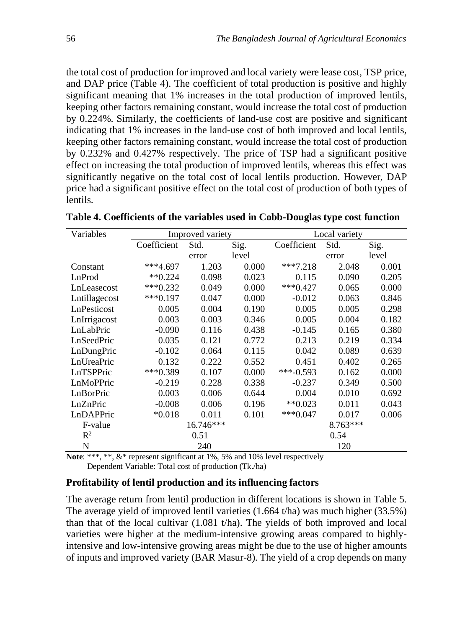the total cost of production for improved and local variety were lease cost, TSP price, and DAP price (Table 4). The coefficient of total production is positive and highly significant meaning that 1% increases in the total production of improved lentils, keeping other factors remaining constant, would increase the total cost of production by 0.224%. Similarly, the coefficients of land-use cost are positive and significant indicating that 1% increases in the land-use cost of both improved and local lentils, keeping other factors remaining constant, would increase the total cost of production by 0.232% and 0.427% respectively. The price of TSP had a significant positive effect on increasing the total production of improved lentils, whereas this effect was significantly negative on the total cost of local lentils production. However, DAP price had a significant positive effect on the total cost of production of both types of lentils.

| Variables      |               | Improved variety |       | Local variety |          |       |  |
|----------------|---------------|------------------|-------|---------------|----------|-------|--|
|                | Coefficient   | Std.             | Sig.  | Coefficient   | Std.     | Sig.  |  |
|                |               | error            | level |               | error    | level |  |
| Constant       | $***4.697$    | 1.203            | 0.000 | $***7.218$    | 2.048    | 0.001 |  |
| LnProd         | $*$ $*$ 0.224 | 0.098            | 0.023 | 0.115         | 0.090    | 0.205 |  |
| LnLeasecost    | $***0.232$    | 0.049            | 0.000 | $***0.427$    | 0.065    | 0.000 |  |
| Lntillagecost  | $***0.197$    | 0.047            | 0.000 | $-0.012$      | 0.063    | 0.846 |  |
| LnPesticost    | 0.005         | 0.004            | 0.190 | 0.005         | 0.005    | 0.298 |  |
| LnIrrigacost   | 0.003         | 0.003            | 0.346 | 0.005         | 0.004    | 0.182 |  |
| LnLabPric      | $-0.090$      | 0.116            | 0.438 | $-0.145$      | 0.165    | 0.380 |  |
| LnSeedPric     | 0.035         | 0.121            | 0.772 | 0.213         | 0.219    | 0.334 |  |
| LnDungPric     | $-0.102$      | 0.064            | 0.115 | 0.042         | 0.089    | 0.639 |  |
| LnUreaPric     | 0.132         | 0.222            | 0.552 | 0.451         | 0.402    | 0.265 |  |
| LnTSPPric      | $***0.389$    | 0.107            | 0.000 | ***-0.593     | 0.162    | 0.000 |  |
| LnMoPPric      | $-0.219$      | 0.228            | 0.338 | $-0.237$      | 0.349    | 0.500 |  |
| LnBorPric      | 0.003         | 0.006            | 0.644 | 0.004         | 0.010    | 0.692 |  |
| LnZnPric       | $-0.008$      | 0.006            | 0.196 | $**0.023$     | 0.011    | 0.043 |  |
| LnDAPPric      | $*0.018$      | 0.011            | 0.101 | $***0.047$    | 0.017    | 0.006 |  |
| F-value        |               | 16.746***        |       |               | 8.763*** |       |  |
| $\mathbb{R}^2$ |               | 0.51             |       |               | 0.54     |       |  |
| N              |               | 240              |       |               | 120      |       |  |

**Table 4. Coefficients of the variables used in Cobb-Douglas type cost function** 

**Note**: \*\*\*, \*\*, &\* represent significant at 1%, 5% and 10% level respectively Dependent Variable: Total cost of production (Tk./ha)

### **Profitability of lentil production and its influencing factors**

The average return from lentil production in different locations is shown in Table 5. The average yield of improved lentil varieties (1.664 t/ha) was much higher (33.5%) than that of the local cultivar (1.081 t/ha). The yields of both improved and local varieties were higher at the medium-intensive growing areas compared to highlyintensive and low-intensive growing areas might be due to the use of higher amounts of inputs and improved variety (BAR Masur-8). The yield of a crop depends on many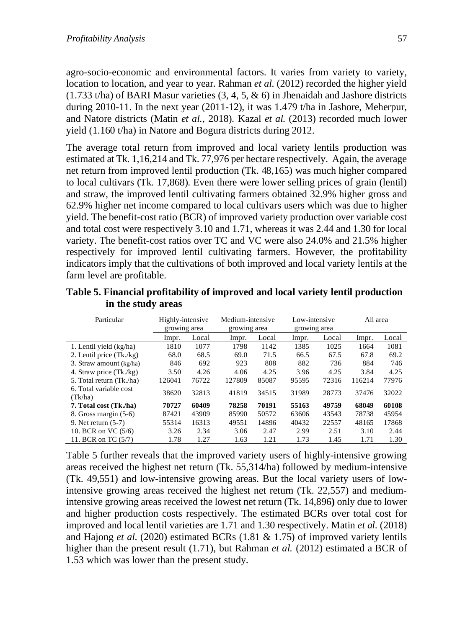agro-socio-economic and environmental factors. It varies from variety to variety, location to location, and year to year. Rahman *et al.* (2012) recorded the higher yield  $(1.733 \text{ t/ha})$  of BARI Masur varieties  $(3, 4, 5, \& 6)$  in Jhenaidah and Jashore districts during 2010-11. In the next year (2011-12), it was 1.479 t/ha in Jashore, Meherpur, and Natore districts (Matin *et al.*, 2018). Kazal *et al.* (2013) recorded much lower yield (1.160 t/ha) in Natore and Bogura districts during 2012.

The average total return from improved and local variety lentils production was estimated at Tk. 1,16,214 and Tk. 77,976 per hectare respectively. Again, the average net return from improved lentil production (Tk. 48,165) was much higher compared to local cultivars (Tk. 17,868). Even there were lower selling prices of grain (lentil) and straw, the improved lentil cultivating farmers obtained 32.9% higher gross and 62.9% higher net income compared to local cultivars users which was due to higher yield. The benefit-cost ratio (BCR) of improved variety production over variable cost and total cost were respectively 3.10 and 1.71, whereas it was 2.44 and 1.30 for local variety. The benefit-cost ratios over TC and VC were also 24.0% and 21.5% higher respectively for improved lentil cultivating farmers. However, the profitability indicators imply that the cultivations of both improved and local variety lentils at the farm level are profitable.

| Particular                 | Highly-intensive |              | Medium-intensive |              | Low-intensive |              | All area |       |
|----------------------------|------------------|--------------|------------------|--------------|---------------|--------------|----------|-------|
|                            |                  | growing area |                  | growing area |               | growing area |          |       |
|                            | Impr.            | Local        | lmpr.            | Local        | Impr.         | Local        | Impr.    | Local |
| 1. Lentil yield (kg/ha)    | 1810             | 1077         | 1798             | 1142         | 1385          | 1025         | 1664     | 1081  |
| 2. Lentil price $(Tk./kg)$ | 68.0             | 68.5         | 69.0             | 71.5         | 66.5          | 67.5         | 67.8     | 69.2  |
| 3. Straw amount (kg/ha)    | 846              | 692          | 923              | 808          | 882           | 736          | 884      | 746   |
| 4. Straw price (Tk./kg)    | 3.50             | 4.26         | 4.06             | 4.25         | 3.96          | 4.25         | 3.84     | 4.25  |
| 5. Total return (Tk./ha)   | 126041           | 76722        | 127809           | 85087        | 95595         | 72316        | 116214   | 77976 |
| 6. Total variable cost     | 38620            | 32813        | 41819            | 34515        | 31989         | 28773        | 37476    | 32022 |
| (Tk/ha)                    |                  |              |                  |              |               |              |          |       |
| 7. Total cost (Tk./ha)     | 70727            | 60409        | 78258            | 70191        | 55163         | 49759        | 68049    | 60108 |
| 8. Gross margin $(5-6)$    | 87421            | 43909        | 85990            | 50572        | 63606         | 43543        | 78738    | 45954 |
| 9. Net return (5-7)        | 55314            | 16313        | 49551            | 14896        | 40432         | 22557        | 48165    | 17868 |
| 10. BCR on VC (5/6)        | 3.26             | 2.34         | 3.06             | 2.47         | 2.99          | 2.51         | 3.10     | 2.44  |
| 11. BCR on TC (5/7)        | 1.78             | 1.27         | 1.63             | 1.21         | 1.73          | 1.45         | 1.71     | 1.30  |

**Table 5. Financial profitability of improved and local variety lentil production in the study areas** 

Table 5 further reveals that the improved variety users of highly-intensive growing areas received the highest net return (Tk. 55,314/ha) followed by medium-intensive (Tk. 49,551) and low-intensive growing areas. But the local variety users of lowintensive growing areas received the highest net return (Tk. 22,557) and mediumintensive growing areas received the lowest net return (Tk. 14,896**)** only due to lower and higher production costs respectively. The estimated BCRs over total cost for improved and local lentil varieties are 1.71 and 1.30 respectively. Matin *et al.* (2018) and Hajong *et al*. (2020) estimated BCRs (1.81 & 1.75) of improved variety lentils higher than the present result (1.71), but Rahman *et al.* (2012) estimated a BCR of 1.53 which was lower than the present study.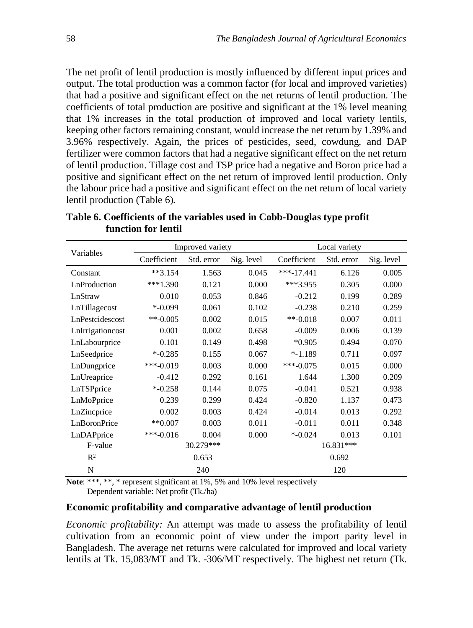The net profit of lentil production is mostly influenced by different input prices and output. The total production was a common factor (for local and improved varieties) that had a positive and significant effect on the net returns of lentil production. The coefficients of total production are positive and significant at the 1% level meaning that 1% increases in the total production of improved and local variety lentils, keeping other factors remaining constant, would increase the net return by 1.39% and 3.96% respectively. Again, the prices of pesticides, seed, cowdung, and DAP fertilizer were common factors that had a negative significant effect on the net return of lentil production. Tillage cost and TSP price had a negative and Boron price had a positive and significant effect on the net return of improved lentil production. Only the labour price had a positive and significant effect on the net return of local variety lentil production (Table 6).

| Variables        |             | Improved variety |            | Local variety |            |            |  |
|------------------|-------------|------------------|------------|---------------|------------|------------|--|
|                  | Coefficient | Std. error       | Sig. level | Coefficient   | Std. error | Sig. level |  |
| Constant         | $**3.154$   | 1.563            | 0.045      | $***-17.441$  | 6.126      | 0.005      |  |
| LnProduction     | $***1.390$  | 0.121            | 0.000      | $***3.955$    | 0.305      | 0.000      |  |
| LnStraw          | 0.010       | 0.053            | 0.846      | $-0.212$      | 0.199      | 0.289      |  |
| LnTillagecost    | $* -0.099$  | 0.061            | 0.102      | $-0.238$      | 0.210      | 0.259      |  |
| LnPestcidescost  | **-0.005    | 0.002            | 0.015      | $**-0.018$    | 0.007      | 0.011      |  |
| LnIrrigationcost | 0.001       | 0.002            | 0.658      | $-0.009$      | 0.006      | 0.139      |  |
| LnLabourprice    | 0.101       | 0.149            | 0.498      | $*0.905$      | 0.494      | 0.070      |  |
| LnSeedprice      | $* -0.285$  | 0.155            | 0.067      | $* -1.189$    | 0.711      | 0.097      |  |
| LnDungprice      | ***-0.019   | 0.003            | 0.000      | $***-0.075$   | 0.015      | 0.000      |  |
| LnUreaprice      | $-0.412$    | 0.292            | 0.161      | 1.644         | 1.300      | 0.209      |  |
| LnTSPprice       | $* -0.258$  | 0.144            | 0.075      | $-0.041$      | 0.521      | 0.938      |  |
| LnMoPprice       | 0.239       | 0.299            | 0.424      | $-0.820$      | 1.137      | 0.473      |  |
| LnZincprice      | 0.002       | 0.003            | 0.424      | $-0.014$      | 0.013      | 0.292      |  |
| LnBoronPrice     | $**0.007$   | 0.003            | 0.011      | $-0.011$      | 0.011      | 0.348      |  |
| LnDAPprice       | $***-0.016$ | 0.004            | 0.000      | $* -0.024$    | 0.013      | 0.101      |  |
| F-value          |             | 30.279***        |            | 16.831***     |            |            |  |
| $\mathbb{R}^2$   |             | 0.653            |            | 0.692         |            |            |  |
| N                |             | 240              |            |               | 120        |            |  |

**Table 6. Coefficients of the variables used in Cobb-Douglas type profit function for lentil** 

Note: \*\*\*, \*\*, \* represent significant at 1%, 5% and 10% level respectively Dependent variable: Net profit (Tk./ha)

### **Economic profitability and comparative advantage of lentil production**

*Economic profitability:* An attempt was made to assess the profitability of lentil cultivation from an economic point of view under the import parity level in Bangladesh. The average net returns were calculated for improved and local variety lentils at Tk. 15,083/MT and Tk. -306/MT respectively. The highest net return (Tk.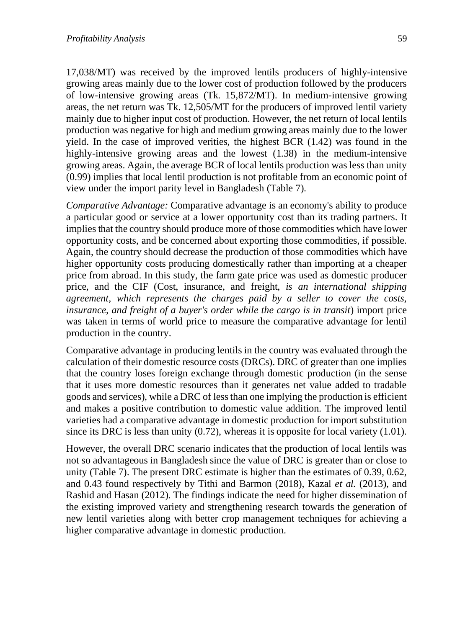17,038/MT) was received by the improved lentils producers of highly-intensive growing areas mainly due to the lower cost of production followed by the producers of low-intensive growing areas (Tk. 15,872/MT). In medium-intensive growing areas, the net return was Tk. 12,505/MT for the producers of improved lentil variety mainly due to higher input cost of production. However, the net return of local lentils production was negative for high and medium growing areas mainly due to the lower yield. In the case of improved verities, the highest BCR (1.42) was found in the highly-intensive growing areas and the lowest (1.38) in the medium-intensive growing areas. Again, the average BCR of local lentils production was less than unity (0.99) implies that local lentil production is not profitable from an economic point of view under the import parity level in Bangladesh (Table 7).

*Comparative Advantage:* Comparative advantage is an economy's ability to produce a particular good or service at a lower opportunity cost than its trading partners. It implies that the country should produce more of those commodities which have lower opportunity costs, and be concerned about exporting those commodities, if possible. Again, the country should decrease the production of those commodities which have higher opportunity costs producing domestically rather than importing at a cheaper price from abroad. In this study, the farm gate price was used as domestic producer price, and the CIF (Cost, insurance, and freight, *is an international shipping agreement, which represents the charges paid by a seller to cover the costs, insurance, and freight of a buyer's order while the cargo is in transit*) import price was taken in terms of world price to measure the comparative advantage for lentil production in the country.

Comparative advantage in producing lentils in the country was evaluated through the calculation of their domestic resource costs (DRCs). DRC of greater than one implies that the country loses foreign exchange through domestic production (in the sense that it uses more domestic resources than it generates net value added to tradable goods and services), while a DRC of less than one implying the production is efficient and makes a positive contribution to domestic value addition. The improved lentil varieties had a comparative advantage in domestic production for import substitution since its DRC is less than unity (0.72), whereas it is opposite for local variety (1.01).

However, the overall DRC scenario indicates that the production of local lentils was not so advantageous in Bangladesh since the value of DRC is greater than or close to unity (Table 7). The present DRC estimate is higher than the estimates of 0.39, 0.62, and 0.43 found respectively by Tithi and Barmon (2018), Kazal *et al.* (2013), and Rashid and Hasan (2012). The findings indicate the need for higher dissemination of the existing improved variety and strengthening research towards the generation of new lentil varieties along with better crop management techniques for achieving a higher comparative advantage in domestic production.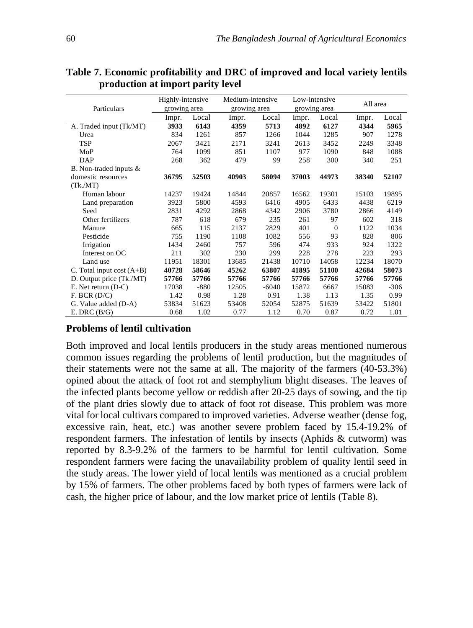|                             | Highly-intensive |        |       | Medium-intensive |       | Low-intensive |       | All area |
|-----------------------------|------------------|--------|-------|------------------|-------|---------------|-------|----------|
| Particulars                 | growing area     |        |       | growing area     |       | growing area  |       |          |
|                             | Impr.            | Local  | Impr. | Local            | Impr. | Local         | Impr. | Local    |
| A. Traded input (Tk/MT)     | 3933             | 6143   | 4359  | 5713             | 4892  | 6127          | 4344  | 5965     |
| Urea                        | 834              | 1261   | 857   | 1266             | 1044  | 1285          | 907   | 1278     |
| <b>TSP</b>                  | 2067             | 3421   | 2171  | 3241             | 2613  | 3452          | 2249  | 3348     |
| MoP                         | 764              | 1099   | 851   | 1107             | 977   | 1090          | 848   | 1088     |
| DAP                         | 268              | 362    | 479   | 99               | 258   | 300           | 340   | 251      |
| B. Non-traded inputs &      |                  |        |       |                  |       |               |       |          |
| domestic resources          | 36795            | 52503  | 40903 | 58094            | 37003 | 44973         | 38340 | 52107    |
| (Tk/MT)                     |                  |        |       |                  |       |               |       |          |
| Human labour                | 14237            | 19424  | 14844 | 20857            | 16562 | 19301         | 15103 | 19895    |
| Land preparation            | 3923             | 5800   | 4593  | 6416             | 4905  | 6433          | 4438  | 6219     |
| Seed                        | 2831             | 4292   | 2868  | 4342             | 2906  | 3780          | 2866  | 4149     |
| Other fertilizers           | 787              | 618    | 679   | 235              | 261   | 97            | 602   | 318      |
| Manure                      | 665              | 115    | 2137  | 2829             | 401   | $\Omega$      | 1122  | 1034     |
| Pesticide                   | 755              | 1190   | 1108  | 1082             | 556   | 93            | 828   | 806      |
| Irrigation                  | 1434             | 2460   | 757   | 596              | 474   | 933           | 924   | 1322     |
| Interest on OC              | 211              | 302    | 230   | 299              | 228   | 278           | 223   | 293      |
| Land use                    | 11951            | 18301  | 13685 | 21438            | 10710 | 14058         | 12234 | 18070    |
| C. Total input cost $(A+B)$ | 40728            | 58646  | 45262 | 63807            | 41895 | 51100         | 42684 | 58073    |
| D. Output price (Tk./MT)    | 57766            | 57766  | 57766 | 57766            | 57766 | 57766         | 57766 | 57766    |
| $E.$ Net return $(D-C)$     | 17038            | $-880$ | 12505 | $-6040$          | 15872 | 6667          | 15083 | $-306$   |
| F. BCR (D/C)                | 1.42             | 0.98   | 1.28  | 0.91             | 1.38  | 1.13          | 1.35  | 0.99     |
| G. Value added (D-A)        | 53834            | 51623  | 53408 | 52054            | 52875 | 51639         | 53422 | 51801    |
| E. DRC $(B/G)$              | 0.68             | 1.02   | 0.77  | 1.12             | 0.70  | 0.87          | 0.72  | 1.01     |

**Table 7. Economic profitability and DRC of improved and local variety lentils production at import parity level** 

## **Problems of lentil cultivation**

Both improved and local lentils producers in the study areas mentioned numerous common issues regarding the problems of lentil production, but the magnitudes of their statements were not the same at all. The majority of the farmers (40-53.3%) opined about the attack of foot rot and stemphylium blight diseases. The leaves of the infected plants become yellow or reddish after 20-25 days of sowing, and the tip of the plant dries slowly due to attack of foot rot disease. This problem was more vital for local cultivars compared to improved varieties. Adverse weather (dense fog, excessive rain, heat, etc.) was another severe problem faced by 15.4-19.2% of respondent farmers. The infestation of lentils by insects (Aphids & cutworm) was reported by 8.3-9.2% of the farmers to be harmful for lentil cultivation. Some respondent farmers were facing the unavailability problem of quality lentil seed in the study areas. The lower yield of local lentils was mentioned as a crucial problem by 15% of farmers. The other problems faced by both types of farmers were lack of cash, the higher price of labour, and the low market price of lentils (Table 8).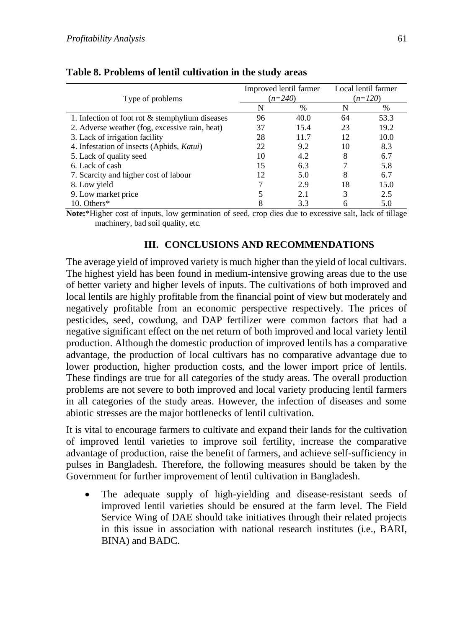| Type of problems                                  |    | Improved lentil farmer<br>$(n=240)$ | Local lentil farmer<br>$(n=120)$ |      |  |
|---------------------------------------------------|----|-------------------------------------|----------------------------------|------|--|
|                                                   | N  | %                                   | N                                | %    |  |
| 1. Infection of foot rot $&$ stemphylium diseases | 96 | 40.0                                | 64                               | 53.3 |  |
| 2. Adverse weather (fog, excessive rain, heat)    | 37 | 15.4                                | 23                               | 19.2 |  |
| 3. Lack of irrigation facility                    | 28 | 11.7                                | 12                               | 10.0 |  |
| 4. Infestation of insects (Aphids, Katui)         | 22 | 9.2                                 | 10                               | 8.3  |  |
| 5. Lack of quality seed                           | 10 | 4.2                                 | 8                                | 6.7  |  |
| 6. Lack of cash                                   | 15 | 6.3                                 |                                  | 5.8  |  |
| 7. Scarcity and higher cost of labour             | 12 | 5.0                                 | 8                                | 6.7  |  |
| 8. Low yield                                      | 7  | 2.9                                 | 18                               | 15.0 |  |
| 9. Low market price                               |    | 2.1                                 | 3                                | 2.5  |  |
| 10. Others*                                       | 8  | 3.3                                 |                                  | 5.0  |  |

### **Table 8. Problems of lentil cultivation in the study areas**

**Note:**\*Higher cost of inputs, low germination of seed, crop dies due to excessive salt, lack of tillage machinery, bad soil quality, etc.

## **III. CONCLUSIONS AND RECOMMENDATIONS**

The average yield of improved variety is much higher than the yield of local cultivars. The highest yield has been found in medium-intensive growing areas due to the use of better variety and higher levels of inputs. The cultivations of both improved and local lentils are highly profitable from the financial point of view but moderately and negatively profitable from an economic perspective respectively. The prices of pesticides, seed, cowdung, and DAP fertilizer were common factors that had a negative significant effect on the net return of both improved and local variety lentil production. Although the domestic production of improved lentils has a comparative advantage, the production of local cultivars has no comparative advantage due to lower production, higher production costs, and the lower import price of lentils. These findings are true for all categories of the study areas. The overall production problems are not severe to both improved and local variety producing lentil farmers in all categories of the study areas. However, the infection of diseases and some abiotic stresses are the major bottlenecks of lentil cultivation.

It is vital to encourage farmers to cultivate and expand their lands for the cultivation of improved lentil varieties to improve soil fertility, increase the comparative advantage of production, raise the benefit of farmers, and achieve self-sufficiency in pulses in Bangladesh. Therefore, the following measures should be taken by the Government for further improvement of lentil cultivation in Bangladesh.

• The adequate supply of high-yielding and disease-resistant seeds of improved lentil varieties should be ensured at the farm level. The Field Service Wing of DAE should take initiatives through their related projects in this issue in association with national research institutes (i.e., BARI, BINA) and BADC.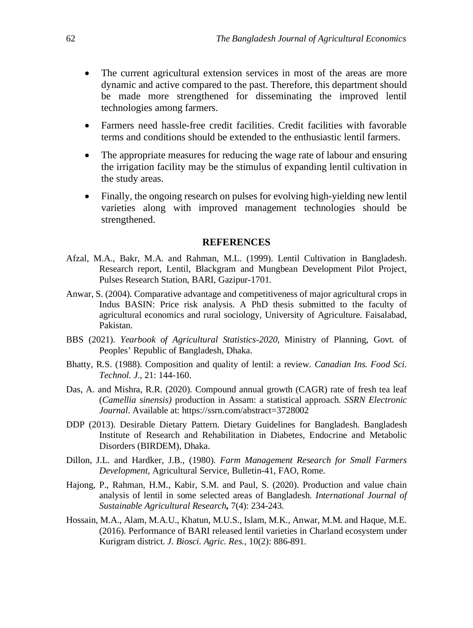- The current agricultural extension services in most of the areas are more dynamic and active compared to the past. Therefore, this department should be made more strengthened for disseminating the improved lentil technologies among farmers.
- Farmers need hassle-free credit facilities. Credit facilities with favorable terms and conditions should be extended to the enthusiastic lentil farmers.
- The appropriate measures for reducing the wage rate of labour and ensuring the irrigation facility may be the stimulus of expanding lentil cultivation in the study areas.
- Finally, the ongoing research on pulses for evolving high-yielding new lentil varieties along with improved management technologies should be strengthened.

#### **REFERENCES**

- Afzal, M.A., Bakr, M.A. and Rahman, M.L. (1999). Lentil Cultivation in Bangladesh. Research report, Lentil, Blackgram and Mungbean Development Pilot Project, Pulses Research Station, BARI, Gazipur-1701.
- Anwar, S. (2004). Comparative advantage and competitiveness of major agricultural crops in Indus BASIN: Price risk analysis. A PhD thesis submitted to the faculty of agricultural economics and rural sociology, University of Agriculture. Faisalabad, Pakistan.
- BBS (2021). *Yearbook of Agricultural Statistics-2020*, Ministry of Planning, Govt. of Peoples' Republic of Bangladesh, Dhaka.
- Bhatty, R.S. (1988). Composition and quality of lentil: a review. *Canadian Ins. Food Sci. Technol. J*., 21: 144-160.
- Das, A. and Mishra, R.R. (2020). Compound annual growth (CAGR) rate of fresh tea leaf (*Camellia sinensis)* production in Assam: a statistical approach. *SSRN Electronic Journal*. Available at: https://ssrn.com/abstract=3728002
- DDP (2013). Desirable Dietary Pattern. Dietary Guidelines for Bangladesh. Bangladesh Institute of Research and Rehabilitation in Diabetes, Endocrine and Metabolic Disorders (BIRDEM), Dhaka.
- Dillon, J.L. and Hardker, J.B., (1980). *Farm Management Research for Small Farmers Development*, Agricultural Service, Bulletin-41, FAO, Rome.
- Hajong, P., Rahman, H.M., Kabir, S.M. and Paul, S. (2020). Production and value chain analysis of lentil in some selected areas of Bangladesh. *International Journal of Sustainable Agricultural Research,* 7(4): 234-243*.*
- Hossain, M.A., Alam, M.A.U., Khatun, M.U.S., Islam, M.K., Anwar, M.M. and Haque, M.E. (2016). Performance of BARI released lentil varieties in Charland ecosystem under Kurigram district. *J. Biosci. Agric. Res.,* 10(2): 886-891.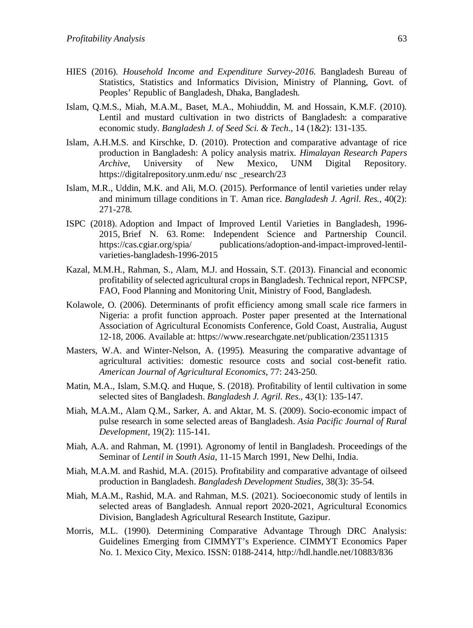- HIES (2016). *Household Income and Expenditure Survey-2016*. Bangladesh Bureau of Statistics, Statistics and Informatics Division, Ministry of Planning, Govt. of Peoples' Republic of Bangladesh, Dhaka, Bangladesh.
- Islam, Q.M.S., Miah, M.A.M., Baset, M.A., Mohiuddin, M. and Hossain, K.M.F. (2010). Lentil and mustard cultivation in two districts of Bangladesh: a comparative economic study. *Bangladesh J. of Seed Sci. & Tech*., 14 (1&2): 131-135.
- Islam, A.H.M.S. and Kirschke, D. (2010). Protection and comparative advantage of rice production in Bangladesh: A policy analysis matrix. *Himalayan Research Papers Archive*, University of New Mexico, UNM Digital Repository. https://digitalrepository.unm.edu/ nsc research/23
- Islam, M.R., Uddin, M.K. and Ali, M.O. (2015). Performance of lentil varieties under relay and minimum tillage conditions in T. Aman rice. *Bangladesh J. Agril. Res.,* 40(2): 271-278.
- ISPC (2018). Adoption and Impact of Improved Lentil Varieties in Bangladesh, 1996- 2015*,* Brief N. 63. Rome: Independent Science and Partnership Council. https://cas.cgiar.org/spia/ publications/adoption-and-impact-improved-lentilvarieties-bangladesh-1996-2015
- Kazal, M.M.H., Rahman, S., Alam, M.J. and Hossain, S.T. (2013). Financial and economic profitability of selected agricultural crops in Bangladesh. Technical report, NFPCSP, FAO, Food Planning and Monitoring Unit, Ministry of Food, Bangladesh.
- Kolawole, O. (2006). Determinants of profit efficiency among small scale rice farmers in Nigeria: a profit function approach. Poster paper presented at the International Association of Agricultural Economists Conference, Gold Coast, Australia, August 12-18, 2006. Available at: https://www.researchgate.net/publication/23511315
- Masters, W.A. and Winter-Nelson, A. (1995). Measuring the comparative advantage of agricultural activities: domestic resource costs and social cost-benefit ratio. *American Journal of Agricultural Economics,* 77: 243-250.
- Matin, M.A., Islam, S.M.Q. and Huque, S. (2018). Profitability of lentil cultivation in some selected sites of Bangladesh. *Bangladesh J. Agril. Res.,* 43(1): 135-147.
- Miah, M.A.M., Alam Q.M., Sarker, A. and Aktar, M. S. (2009). Socio-economic impact of pulse research in some selected areas of Bangladesh. *Asia Pacific Journal of Rural Development,* 19(2): 115-141.
- Miah, A.A. and Rahman, M. (1991). Agronomy of lentil in Bangladesh. Proceedings of the Seminar of *Lentil in South Asia*, 11-15 March 1991, New Delhi, India.
- Miah, M.A.M. and Rashid, M.A. (2015). Profitability and comparative advantage of oilseed production in Bangladesh. *Bangladesh Development Studies,* 38(3): 35-54.
- Miah, M.A.M., Rashid, M.A. and Rahman, M.S. (2021). Socioeconomic study of lentils in selected areas of Bangladesh. Annual report 2020-2021, Agricultural Economics Division, Bangladesh Agricultural Research Institute, Gazipur.
- Morris, M.L. (1990). Determining Comparative Advantage Through DRC Analysis: Guidelines Emerging from CIMMYT's Experience. CIMMYT Economics Paper No. 1. Mexico City, Mexico. ISSN: 0188-2414, http://hdl.handle.net/10883/836